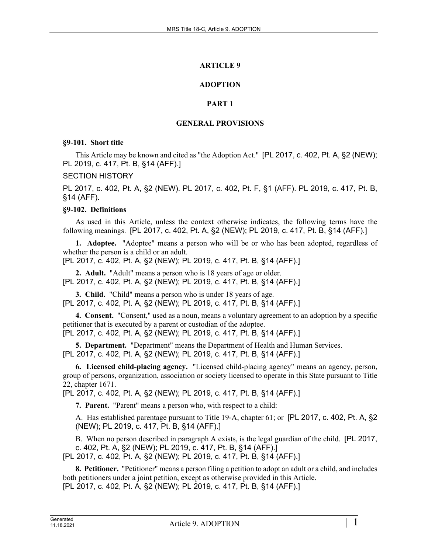## **ARTICLE 9**

## **ADOPTION**

## **PART 1**

## **GENERAL PROVISIONS**

### **§9-101. Short title**

This Article may be known and cited as "the Adoption Act." [PL 2017, c. 402, Pt. A, §2 (NEW); PL 2019, c. 417, Pt. B, §14 (AFF).]

### SECTION HISTORY

PL 2017, c. 402, Pt. A, §2 (NEW). PL 2017, c. 402, Pt. F, §1 (AFF). PL 2019, c. 417, Pt. B, §14 (AFF).

## **§9-102. Definitions**

As used in this Article, unless the context otherwise indicates, the following terms have the following meanings. [PL 2017, c. 402, Pt. A, §2 (NEW); PL 2019, c. 417, Pt. B, §14 (AFF).]

**1. Adoptee.** "Adoptee" means a person who will be or who has been adopted, regardless of whether the person is a child or an adult.

[PL 2017, c. 402, Pt. A, §2 (NEW); PL 2019, c. 417, Pt. B, §14 (AFF).]

**2. Adult.** "Adult" means a person who is 18 years of age or older. [PL 2017, c. 402, Pt. A, §2 (NEW); PL 2019, c. 417, Pt. B, §14 (AFF).]

**3. Child.** "Child" means a person who is under 18 years of age. [PL 2017, c. 402, Pt. A, §2 (NEW); PL 2019, c. 417, Pt. B, §14 (AFF).]

**4. Consent.** "Consent," used as a noun, means a voluntary agreement to an adoption by a specific petitioner that is executed by a parent or custodian of the adoptee. [PL 2017, c. 402, Pt. A, §2 (NEW); PL 2019, c. 417, Pt. B, §14 (AFF).]

**5. Department.** "Department" means the Department of Health and Human Services. [PL 2017, c. 402, Pt. A, §2 (NEW); PL 2019, c. 417, Pt. B, §14 (AFF).]

**6. Licensed child-placing agency.** "Licensed child-placing agency" means an agency, person, group of persons, organization, association or society licensed to operate in this State pursuant to Title 22, chapter 1671.

[PL 2017, c. 402, Pt. A, §2 (NEW); PL 2019, c. 417, Pt. B, §14 (AFF).]

**7. Parent.** "Parent" means a person who, with respect to a child:

A. Has established parentage pursuant to Title 19‑A, chapter 61; or [PL 2017, c. 402, Pt. A, §2 (NEW); PL 2019, c. 417, Pt. B, §14 (AFF).]

B. When no person described in paragraph A exists, is the legal guardian of the child. [PL 2017, c. 402, Pt. A, §2 (NEW); PL 2019, c. 417, Pt. B, §14 (AFF).]

[PL 2017, c. 402, Pt. A, §2 (NEW); PL 2019, c. 417, Pt. B, §14 (AFF).]

**8. Petitioner.** "Petitioner" means a person filing a petition to adopt an adult or a child, and includes both petitioners under a joint petition, except as otherwise provided in this Article. [PL 2017, c. 402, Pt. A, §2 (NEW); PL 2019, c. 417, Pt. B, §14 (AFF).]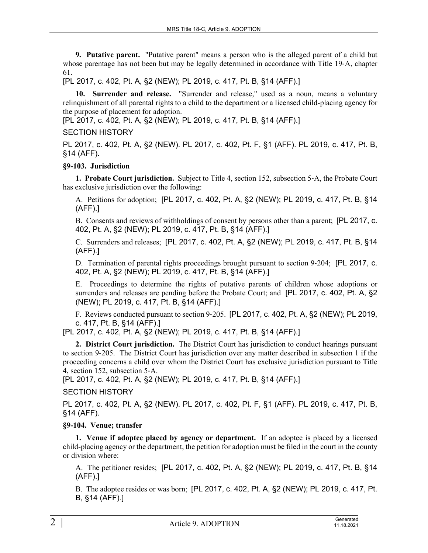**9. Putative parent.** "Putative parent" means a person who is the alleged parent of a child but whose parentage has not been but may be legally determined in accordance with Title 19–A, chapter 61.

[PL 2017, c. 402, Pt. A, §2 (NEW); PL 2019, c. 417, Pt. B, §14 (AFF).]

**10. Surrender and release.** "Surrender and release," used as a noun, means a voluntary relinquishment of all parental rights to a child to the department or a licensed child-placing agency for the purpose of placement for adoption.

[PL 2017, c. 402, Pt. A, §2 (NEW); PL 2019, c. 417, Pt. B, §14 (AFF).]

## SECTION HISTORY

PL 2017, c. 402, Pt. A, §2 (NEW). PL 2017, c. 402, Pt. F, §1 (AFF). PL 2019, c. 417, Pt. B, §14 (AFF).

### **§9-103. Jurisdiction**

**1. Probate Court jurisdiction.** Subject to Title 4, section 152, subsection 5‑A, the Probate Court has exclusive jurisdiction over the following:

A. Petitions for adoption; [PL 2017, c. 402, Pt. A, §2 (NEW); PL 2019, c. 417, Pt. B, §14 (AFF).]

B. Consents and reviews of withholdings of consent by persons other than a parent; [PL 2017, c. 402, Pt. A, §2 (NEW); PL 2019, c. 417, Pt. B, §14 (AFF).]

C. Surrenders and releases; [PL 2017, c. 402, Pt. A, §2 (NEW); PL 2019, c. 417, Pt. B, §14 (AFF).]

D. Termination of parental rights proceedings brought pursuant to section 9-204; [PL 2017, c. 402, Pt. A, §2 (NEW); PL 2019, c. 417, Pt. B, §14 (AFF).]

E. Proceedings to determine the rights of putative parents of children whose adoptions or surrenders and releases are pending before the Probate Court; and [PL 2017, c. 402, Pt. A, §2 (NEW); PL 2019, c. 417, Pt. B, §14 (AFF).]

F. Reviews conducted pursuant to section 9‑205. [PL 2017, c. 402, Pt. A, §2 (NEW); PL 2019, c. 417, Pt. B, §14 (AFF).]

[PL 2017, c. 402, Pt. A, §2 (NEW); PL 2019, c. 417, Pt. B, §14 (AFF).]

**2. District Court jurisdiction.** The District Court has jurisdiction to conduct hearings pursuant to section 9‑205. The District Court has jurisdiction over any matter described in subsection 1 if the proceeding concerns a child over whom the District Court has exclusive jurisdiction pursuant to Title 4, section 152, subsection 5‑A.

[PL 2017, c. 402, Pt. A, §2 (NEW); PL 2019, c. 417, Pt. B, §14 (AFF).]

## SECTION HISTORY

PL 2017, c. 402, Pt. A, §2 (NEW). PL 2017, c. 402, Pt. F, §1 (AFF). PL 2019, c. 417, Pt. B, §14 (AFF).

## **§9-104. Venue; transfer**

**1. Venue if adoptee placed by agency or department.** If an adoptee is placed by a licensed child-placing agency or the department, the petition for adoption must be filed in the court in the county or division where:

A. The petitioner resides; [PL 2017, c. 402, Pt. A, §2 (NEW); PL 2019, c. 417, Pt. B, §14 (AFF).]

B. The adoptee resides or was born; [PL 2017, c. 402, Pt. A, §2 (NEW); PL 2019, c. 417, Pt. B, §14 (AFF).]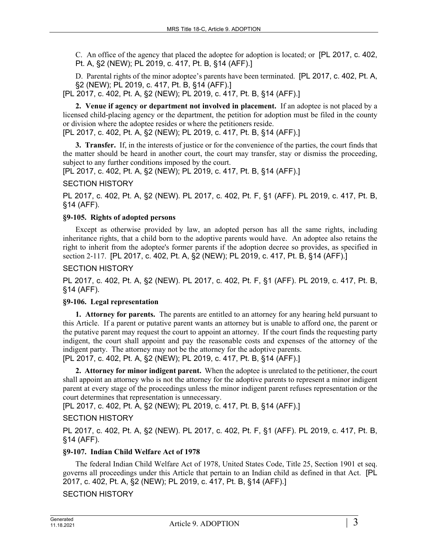C. An office of the agency that placed the adoptee for adoption is located; or [PL 2017, c. 402, Pt. A, §2 (NEW); PL 2019, c. 417, Pt. B, §14 (AFF).]

D. Parental rights of the minor adoptee's parents have been terminated. [PL 2017, c. 402, Pt. A, §2 (NEW); PL 2019, c. 417, Pt. B, §14 (AFF).]

[PL 2017, c. 402, Pt. A, §2 (NEW); PL 2019, c. 417, Pt. B, §14 (AFF).]

**2. Venue if agency or department not involved in placement.** If an adoptee is not placed by a licensed child-placing agency or the department, the petition for adoption must be filed in the county or division where the adoptee resides or where the petitioners reside.

[PL 2017, c. 402, Pt. A, §2 (NEW); PL 2019, c. 417, Pt. B, §14 (AFF).]

**3. Transfer.** If, in the interests of justice or for the convenience of the parties, the court finds that the matter should be heard in another court, the court may transfer, stay or dismiss the proceeding, subject to any further conditions imposed by the court.

[PL 2017, c. 402, Pt. A, §2 (NEW); PL 2019, c. 417, Pt. B, §14 (AFF).]

SECTION HISTORY

PL 2017, c. 402, Pt. A, §2 (NEW). PL 2017, c. 402, Pt. F, §1 (AFF). PL 2019, c. 417, Pt. B, §14 (AFF).

### **§9-105. Rights of adopted persons**

Except as otherwise provided by law, an adopted person has all the same rights, including inheritance rights, that a child born to the adoptive parents would have. An adoptee also retains the right to inherit from the adoptee's former parents if the adoption decree so provides, as specified in section 2‑117. [PL 2017, c. 402, Pt. A, §2 (NEW); PL 2019, c. 417, Pt. B, §14 (AFF).]

SECTION HISTORY

PL 2017, c. 402, Pt. A, §2 (NEW). PL 2017, c. 402, Pt. F, §1 (AFF). PL 2019, c. 417, Pt. B, §14 (AFF).

## **§9-106. Legal representation**

**1. Attorney for parents.** The parents are entitled to an attorney for any hearing held pursuant to this Article. If a parent or putative parent wants an attorney but is unable to afford one, the parent or the putative parent may request the court to appoint an attorney. If the court finds the requesting party indigent, the court shall appoint and pay the reasonable costs and expenses of the attorney of the indigent party. The attorney may not be the attorney for the adoptive parents. [PL 2017, c. 402, Pt. A, §2 (NEW); PL 2019, c. 417, Pt. B, §14 (AFF).]

**2. Attorney for minor indigent parent.** When the adoptee is unrelated to the petitioner, the court shall appoint an attorney who is not the attorney for the adoptive parents to represent a minor indigent parent at every stage of the proceedings unless the minor indigent parent refuses representation or the court determines that representation is unnecessary.

[PL 2017, c. 402, Pt. A, §2 (NEW); PL 2019, c. 417, Pt. B, §14 (AFF).]

SECTION HISTORY

PL 2017, c. 402, Pt. A, §2 (NEW). PL 2017, c. 402, Pt. F, §1 (AFF). PL 2019, c. 417, Pt. B, §14 (AFF).

## **§9-107. Indian Child Welfare Act of 1978**

The federal Indian Child Welfare Act of 1978, United States Code, Title 25, Section 1901 et seq. governs all proceedings under this Article that pertain to an Indian child as defined in that Act. [PL 2017, c. 402, Pt. A, §2 (NEW); PL 2019, c. 417, Pt. B, §14 (AFF).]

SECTION HISTORY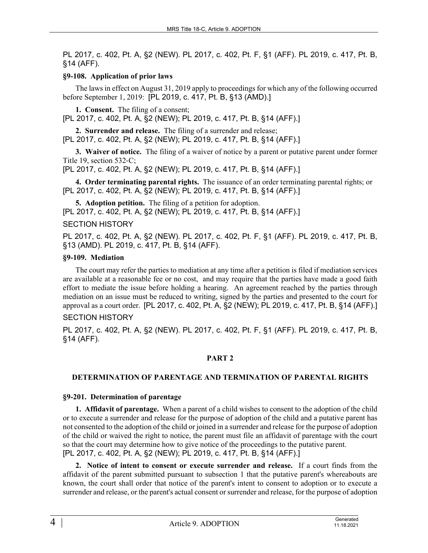PL 2017, c. 402, Pt. A, §2 (NEW). PL 2017, c. 402, Pt. F, §1 (AFF). PL 2019, c. 417, Pt. B, §14 (AFF).

## **§9-108. Application of prior laws**

The laws in effect on August 31, 2019 apply to proceedings for which any of the following occurred before September 1, 2019: [PL 2019, c. 417, Pt. B, §13 (AMD).]

**1. Consent.** The filing of a consent;

[PL 2017, c. 402, Pt. A, §2 (NEW); PL 2019, c. 417, Pt. B, §14 (AFF).]

**2. Surrender and release.** The filing of a surrender and release; [PL 2017, c. 402, Pt. A, §2 (NEW); PL 2019, c. 417, Pt. B, §14 (AFF).]

**3. Waiver of notice.** The filing of a waiver of notice by a parent or putative parent under former Title 19, section 532-C;

[PL 2017, c. 402, Pt. A, §2 (NEW); PL 2019, c. 417, Pt. B, §14 (AFF).]

**4. Order terminating parental rights.** The issuance of an order terminating parental rights; or [PL 2017, c. 402, Pt. A, §2 (NEW); PL 2019, c. 417, Pt. B, §14 (AFF).]

**5. Adoption petition.** The filing of a petition for adoption. [PL 2017, c. 402, Pt. A, §2 (NEW); PL 2019, c. 417, Pt. B, §14 (AFF).]

## SECTION HISTORY

PL 2017, c. 402, Pt. A, §2 (NEW). PL 2017, c. 402, Pt. F, §1 (AFF). PL 2019, c. 417, Pt. B, §13 (AMD). PL 2019, c. 417, Pt. B, §14 (AFF).

### **§9-109. Mediation**

The court may refer the parties to mediation at any time after a petition is filed if mediation services are available at a reasonable fee or no cost, and may require that the parties have made a good faith effort to mediate the issue before holding a hearing. An agreement reached by the parties through mediation on an issue must be reduced to writing, signed by the parties and presented to the court for approval as a court order. [PL 2017, c. 402, Pt. A, §2 (NEW); PL 2019, c. 417, Pt. B, §14 (AFF).]

## SECTION HISTORY

PL 2017, c. 402, Pt. A, §2 (NEW). PL 2017, c. 402, Pt. F, §1 (AFF). PL 2019, c. 417, Pt. B, §14 (AFF).

## **PART 2**

## **DETERMINATION OF PARENTAGE AND TERMINATION OF PARENTAL RIGHTS**

#### **§9-201. Determination of parentage**

**1. Affidavit of parentage.** When a parent of a child wishes to consent to the adoption of the child or to execute a surrender and release for the purpose of adoption of the child and a putative parent has not consented to the adoption of the child or joined in a surrender and release for the purpose of adoption of the child or waived the right to notice, the parent must file an affidavit of parentage with the court so that the court may determine how to give notice of the proceedings to the putative parent. [PL 2017, c. 402, Pt. A, §2 (NEW); PL 2019, c. 417, Pt. B, §14 (AFF).]

**2. Notice of intent to consent or execute surrender and release.** If a court finds from the affidavit of the parent submitted pursuant to subsection 1 that the putative parent's whereabouts are known, the court shall order that notice of the parent's intent to consent to adoption or to execute a surrender and release, or the parent's actual consent or surrender and release, for the purpose of adoption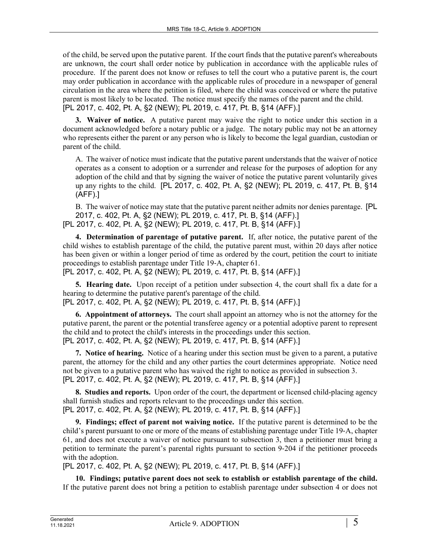of the child, be served upon the putative parent. If the court finds that the putative parent's whereabouts are unknown, the court shall order notice by publication in accordance with the applicable rules of procedure. If the parent does not know or refuses to tell the court who a putative parent is, the court may order publication in accordance with the applicable rules of procedure in a newspaper of general circulation in the area where the petition is filed, where the child was conceived or where the putative parent is most likely to be located. The notice must specify the names of the parent and the child. [PL 2017, c. 402, Pt. A, §2 (NEW); PL 2019, c. 417, Pt. B, §14 (AFF).]

**3. Waiver of notice.** A putative parent may waive the right to notice under this section in a document acknowledged before a notary public or a judge. The notary public may not be an attorney who represents either the parent or any person who is likely to become the legal guardian, custodian or parent of the child.

A. The waiver of notice must indicate that the putative parent understands that the waiver of notice operates as a consent to adoption or a surrender and release for the purposes of adoption for any adoption of the child and that by signing the waiver of notice the putative parent voluntarily gives up any rights to the child. [PL 2017, c. 402, Pt. A, §2 (NEW); PL 2019, c. 417, Pt. B, §14 (AFF).]

B. The waiver of notice may state that the putative parent neither admits nor denies parentage. [PL 2017, c. 402, Pt. A, §2 (NEW); PL 2019, c. 417, Pt. B, §14 (AFF).] [PL 2017, c. 402, Pt. A, §2 (NEW); PL 2019, c. 417, Pt. B, §14 (AFF).]

**4. Determination of parentage of putative parent.** If, after notice, the putative parent of the child wishes to establish parentage of the child, the putative parent must, within 20 days after notice has been given or within a longer period of time as ordered by the court, petition the court to initiate proceedings to establish parentage under Title 19‑A, chapter 61.

[PL 2017, c. 402, Pt. A, §2 (NEW); PL 2019, c. 417, Pt. B, §14 (AFF).]

**5. Hearing date.** Upon receipt of a petition under subsection 4, the court shall fix a date for a hearing to determine the putative parent's parentage of the child. [PL 2017, c. 402, Pt. A, §2 (NEW); PL 2019, c. 417, Pt. B, §14 (AFF).]

**6. Appointment of attorneys.** The court shall appoint an attorney who is not the attorney for the putative parent, the parent or the potential transferee agency or a potential adoptive parent to represent the child and to protect the child's interests in the proceedings under this section. [PL 2017, c. 402, Pt. A, §2 (NEW); PL 2019, c. 417, Pt. B, §14 (AFF).]

**7. Notice of hearing.** Notice of a hearing under this section must be given to a parent, a putative parent, the attorney for the child and any other parties the court determines appropriate. Notice need not be given to a putative parent who has waived the right to notice as provided in subsection 3. [PL 2017, c. 402, Pt. A, §2 (NEW); PL 2019, c. 417, Pt. B, §14 (AFF).]

**8. Studies and reports.** Upon order of the court, the department or licensed child-placing agency shall furnish studies and reports relevant to the proceedings under this section. [PL 2017, c. 402, Pt. A, §2 (NEW); PL 2019, c. 417, Pt. B, §14 (AFF).]

**9. Findings; effect of parent not waiving notice.** If the putative parent is determined to be the child's parent pursuant to one or more of the means of establishing parentage under Title 19‑A, chapter 61, and does not execute a waiver of notice pursuant to subsection 3, then a petitioner must bring a petition to terminate the parent's parental rights pursuant to section 9‑204 if the petitioner proceeds with the adoption.

[PL 2017, c. 402, Pt. A, §2 (NEW); PL 2019, c. 417, Pt. B, §14 (AFF).]

**10. Findings; putative parent does not seek to establish or establish parentage of the child.**  If the putative parent does not bring a petition to establish parentage under subsection 4 or does not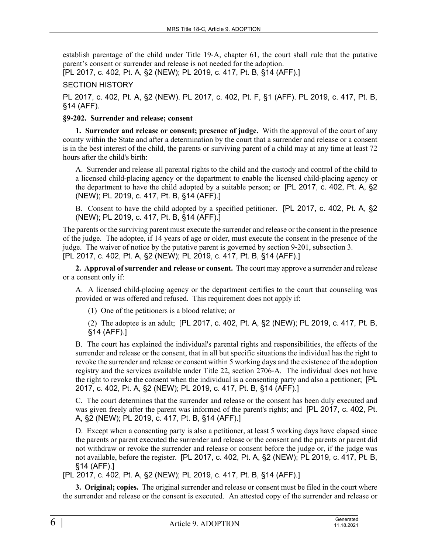establish parentage of the child under Title 19‑A, chapter 61, the court shall rule that the putative parent's consent or surrender and release is not needed for the adoption.

[PL 2017, c. 402, Pt. A, §2 (NEW); PL 2019, c. 417, Pt. B, §14 (AFF).]

## SECTION HISTORY

PL 2017, c. 402, Pt. A, §2 (NEW). PL 2017, c. 402, Pt. F, §1 (AFF). PL 2019, c. 417, Pt. B, §14 (AFF).

## **§9-202. Surrender and release; consent**

**1. Surrender and release or consent; presence of judge.** With the approval of the court of any county within the State and after a determination by the court that a surrender and release or a consent is in the best interest of the child, the parents or surviving parent of a child may at any time at least 72 hours after the child's birth:

A. Surrender and release all parental rights to the child and the custody and control of the child to a licensed child-placing agency or the department to enable the licensed child-placing agency or the department to have the child adopted by a suitable person; or [PL 2017, c. 402, Pt. A, §2 (NEW); PL 2019, c. 417, Pt. B, §14 (AFF).]

B. Consent to have the child adopted by a specified petitioner. [PL 2017, c. 402, Pt. A, §2 (NEW); PL 2019, c. 417, Pt. B, §14 (AFF).]

The parents or the surviving parent must execute the surrender and release or the consent in the presence of the judge. The adoptee, if 14 years of age or older, must execute the consent in the presence of the judge. The waiver of notice by the putative parent is governed by section 9‑201, subsection 3. [PL 2017, c. 402, Pt. A, §2 (NEW); PL 2019, c. 417, Pt. B, §14 (AFF).]

**2. Approval of surrender and release or consent.** The court may approve a surrender and release or a consent only if:

A. A licensed child-placing agency or the department certifies to the court that counseling was provided or was offered and refused. This requirement does not apply if:

(1) One of the petitioners is a blood relative; or

(2) The adoptee is an adult; [PL 2017, c. 402, Pt. A, §2 (NEW); PL 2019, c. 417, Pt. B, §14 (AFF).]

B. The court has explained the individual's parental rights and responsibilities, the effects of the surrender and release or the consent, that in all but specific situations the individual has the right to revoke the surrender and release or consent within 5 working days and the existence of the adoption registry and the services available under Title 22, section 2706‑A. The individual does not have the right to revoke the consent when the individual is a consenting party and also a petitioner; [PL 2017, c. 402, Pt. A, §2 (NEW); PL 2019, c. 417, Pt. B, §14 (AFF).]

C. The court determines that the surrender and release or the consent has been duly executed and was given freely after the parent was informed of the parent's rights; and [PL 2017, c. 402, Pt. A, §2 (NEW); PL 2019, c. 417, Pt. B, §14 (AFF).]

D. Except when a consenting party is also a petitioner, at least 5 working days have elapsed since the parents or parent executed the surrender and release or the consent and the parents or parent did not withdraw or revoke the surrender and release or consent before the judge or, if the judge was not available, before the register. [PL 2017, c. 402, Pt. A, §2 (NEW); PL 2019, c. 417, Pt. B, §14 (AFF).]

[PL 2017, c. 402, Pt. A, §2 (NEW); PL 2019, c. 417, Pt. B, §14 (AFF).]

**3. Original; copies.** The original surrender and release or consent must be filed in the court where the surrender and release or the consent is executed. An attested copy of the surrender and release or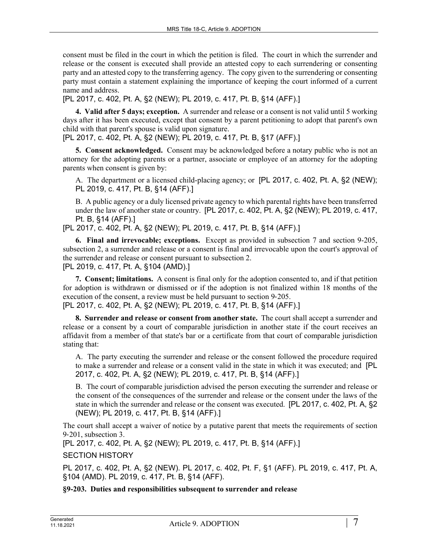consent must be filed in the court in which the petition is filed. The court in which the surrender and release or the consent is executed shall provide an attested copy to each surrendering or consenting party and an attested copy to the transferring agency. The copy given to the surrendering or consenting party must contain a statement explaining the importance of keeping the court informed of a current name and address.

[PL 2017, c. 402, Pt. A, §2 (NEW); PL 2019, c. 417, Pt. B, §14 (AFF).]

**4. Valid after 5 days; exception.** A surrender and release or a consent is not valid until 5 working days after it has been executed, except that consent by a parent petitioning to adopt that parent's own child with that parent's spouse is valid upon signature.

[PL 2017, c. 402, Pt. A, §2 (NEW); PL 2019, c. 417, Pt. B, §17 (AFF).]

**5. Consent acknowledged.** Consent may be acknowledged before a notary public who is not an attorney for the adopting parents or a partner, associate or employee of an attorney for the adopting parents when consent is given by:

A. The department or a licensed child-placing agency; or [PL 2017, c. 402, Pt. A, §2 (NEW); PL 2019, c. 417, Pt. B, §14 (AFF).]

B. A public agency or a duly licensed private agency to which parental rights have been transferred under the law of another state or country. [PL 2017, c. 402, Pt. A, §2 (NEW); PL 2019, c. 417, Pt. B, §14 (AFF).]

[PL 2017, c. 402, Pt. A, §2 (NEW); PL 2019, c. 417, Pt. B, §14 (AFF).]

**6. Final and irrevocable; exceptions.** Except as provided in subsection 7 and section 9-205, subsection 2, a surrender and release or a consent is final and irrevocable upon the court's approval of the surrender and release or consent pursuant to subsection 2. [PL 2019, c. 417, Pt. A, §104 (AMD).]

**7. Consent; limitations.** A consent is final only for the adoption consented to, and if that petition for adoption is withdrawn or dismissed or if the adoption is not finalized within 18 months of the execution of the consent, a review must be held pursuant to section 9-205. [PL 2017, c. 402, Pt. A, §2 (NEW); PL 2019, c. 417, Pt. B, §14 (AFF).]

**8. Surrender and release or consent from another state.** The court shall accept a surrender and release or a consent by a court of comparable jurisdiction in another state if the court receives an affidavit from a member of that state's bar or a certificate from that court of comparable jurisdiction stating that:

A. The party executing the surrender and release or the consent followed the procedure required to make a surrender and release or a consent valid in the state in which it was executed; and [PL 2017, c. 402, Pt. A, §2 (NEW); PL 2019, c. 417, Pt. B, §14 (AFF).]

B. The court of comparable jurisdiction advised the person executing the surrender and release or the consent of the consequences of the surrender and release or the consent under the laws of the state in which the surrender and release or the consent was executed. [PL 2017, c. 402, Pt. A, §2 (NEW); PL 2019, c. 417, Pt. B, §14 (AFF).]

The court shall accept a waiver of notice by a putative parent that meets the requirements of section 9‑201, subsection 3.

[PL 2017, c. 402, Pt. A, §2 (NEW); PL 2019, c. 417, Pt. B, §14 (AFF).]

SECTION HISTORY

PL 2017, c. 402, Pt. A, §2 (NEW). PL 2017, c. 402, Pt. F, §1 (AFF). PL 2019, c. 417, Pt. A, §104 (AMD). PL 2019, c. 417, Pt. B, §14 (AFF).

**§9-203. Duties and responsibilities subsequent to surrender and release**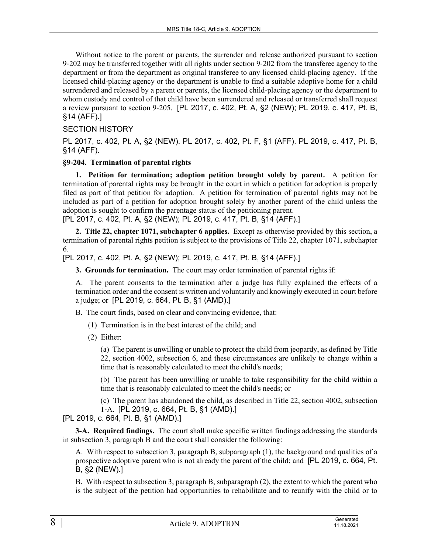Without notice to the parent or parents, the surrender and release authorized pursuant to section 9‑202 may be transferred together with all rights under section 9‑202 from the transferee agency to the department or from the department as original transferee to any licensed child-placing agency. If the licensed child-placing agency or the department is unable to find a suitable adoptive home for a child surrendered and released by a parent or parents, the licensed child-placing agency or the department to whom custody and control of that child have been surrendered and released or transferred shall request a review pursuant to section 9‑205. [PL 2017, c. 402, Pt. A, §2 (NEW); PL 2019, c. 417, Pt. B, §14 (AFF).]

## SECTION HISTORY

PL 2017, c. 402, Pt. A, §2 (NEW). PL 2017, c. 402, Pt. F, §1 (AFF). PL 2019, c. 417, Pt. B, §14 (AFF).

## **§9-204. Termination of parental rights**

**1. Petition for termination; adoption petition brought solely by parent.** A petition for termination of parental rights may be brought in the court in which a petition for adoption is properly filed as part of that petition for adoption. A petition for termination of parental rights may not be included as part of a petition for adoption brought solely by another parent of the child unless the adoption is sought to confirm the parentage status of the petitioning parent.

[PL 2017, c. 402, Pt. A, §2 (NEW); PL 2019, c. 417, Pt. B, §14 (AFF).]

**2. Title 22, chapter 1071, subchapter 6 applies.** Except as otherwise provided by this section, a termination of parental rights petition is subject to the provisions of Title 22, chapter 1071, subchapter 6.

[PL 2017, c. 402, Pt. A, §2 (NEW); PL 2019, c. 417, Pt. B, §14 (AFF).]

**3. Grounds for termination.** The court may order termination of parental rights if:

A. The parent consents to the termination after a judge has fully explained the effects of a termination order and the consent is written and voluntarily and knowingly executed in court before a judge; or [PL 2019, c. 664, Pt. B, §1 (AMD).]

B. The court finds, based on clear and convincing evidence, that:

- (1) Termination is in the best interest of the child; and
- (2) Either:

(a) The parent is unwilling or unable to protect the child from jeopardy, as defined by Title 22, section 4002, subsection 6, and these circumstances are unlikely to change within a time that is reasonably calculated to meet the child's needs;

(b) The parent has been unwilling or unable to take responsibility for the child within a time that is reasonably calculated to meet the child's needs; or

(c) The parent has abandoned the child, as described in Title 22, section 4002, subsection 1‑A. [PL 2019, c. 664, Pt. B, §1 (AMD).]

[PL 2019, c. 664, Pt. B, §1 (AMD).]

**3-A. Required findings.** The court shall make specific written findings addressing the standards in subsection 3, paragraph B and the court shall consider the following:

A. With respect to subsection 3, paragraph B, subparagraph (1), the background and qualities of a prospective adoptive parent who is not already the parent of the child; and [PL 2019, c. 664, Pt. B, §2 (NEW).]

B. With respect to subsection 3, paragraph B, subparagraph (2), the extent to which the parent who is the subject of the petition had opportunities to rehabilitate and to reunify with the child or to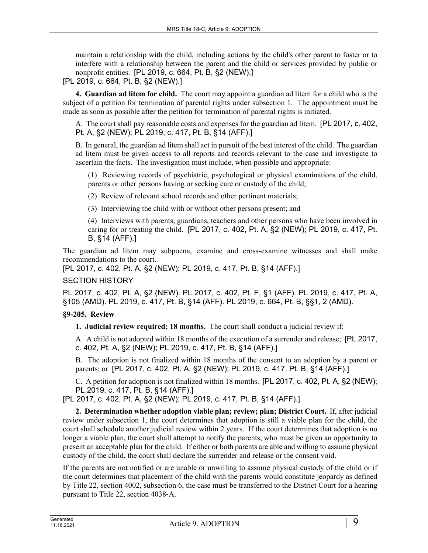maintain a relationship with the child, including actions by the child's other parent to foster or to interfere with a relationship between the parent and the child or services provided by public or nonprofit entities. [PL 2019, c. 664, Pt. B, §2 (NEW).]

[PL 2019, c. 664, Pt. B, §2 (NEW).]

**4. Guardian ad litem for child.** The court may appoint a guardian ad litem for a child who is the subject of a petition for termination of parental rights under subsection 1. The appointment must be made as soon as possible after the petition for termination of parental rights is initiated.

A. The court shall pay reasonable costs and expenses for the guardian ad litem. [PL 2017, c. 402, Pt. A, §2 (NEW); PL 2019, c. 417, Pt. B, §14 (AFF).]

B. In general, the guardian ad litem shall act in pursuit of the best interest of the child. The guardian ad litem must be given access to all reports and records relevant to the case and investigate to ascertain the facts. The investigation must include, when possible and appropriate:

(1) Reviewing records of psychiatric, psychological or physical examinations of the child, parents or other persons having or seeking care or custody of the child;

(2) Review of relevant school records and other pertinent materials;

(3) Interviewing the child with or without other persons present; and

(4) Interviews with parents, guardians, teachers and other persons who have been involved in caring for or treating the child. [PL 2017, c. 402, Pt. A, §2 (NEW); PL 2019, c. 417, Pt. B, §14 (AFF).]

The guardian ad litem may subpoena, examine and cross-examine witnesses and shall make recommendations to the court.

[PL 2017, c. 402, Pt. A, §2 (NEW); PL 2019, c. 417, Pt. B, §14 (AFF).]

### SECTION HISTORY

PL 2017, c. 402, Pt. A, §2 (NEW). PL 2017, c. 402, Pt. F, §1 (AFF). PL 2019, c. 417, Pt. A, §105 (AMD). PL 2019, c. 417, Pt. B, §14 (AFF). PL 2019, c. 664, Pt. B, §§1, 2 (AMD).

## **§9-205. Review**

**1. Judicial review required; 18 months.** The court shall conduct a judicial review if:

A. A child is not adopted within 18 months of the execution of a surrender and release; [PL 2017, c. 402, Pt. A, §2 (NEW); PL 2019, c. 417, Pt. B, §14 (AFF).]

B. The adoption is not finalized within 18 months of the consent to an adoption by a parent or parents; or [PL 2017, c. 402, Pt. A, §2 (NEW); PL 2019, c. 417, Pt. B, §14 (AFF).]

C. A petition for adoption is not finalized within 18 months. [PL 2017, c. 402, Pt. A, §2 (NEW); PL 2019, c. 417, Pt. B, §14 (AFF).]

[PL 2017, c. 402, Pt. A, §2 (NEW); PL 2019, c. 417, Pt. B, §14 (AFF).]

**2. Determination whether adoption viable plan; review; plan; District Court.** If, after judicial review under subsection 1, the court determines that adoption is still a viable plan for the child, the court shall schedule another judicial review within 2 years. If the court determines that adoption is no longer a viable plan, the court shall attempt to notify the parents, who must be given an opportunity to present an acceptable plan for the child. If either or both parents are able and willing to assume physical custody of the child, the court shall declare the surrender and release or the consent void.

If the parents are not notified or are unable or unwilling to assume physical custody of the child or if the court determines that placement of the child with the parents would constitute jeopardy as defined by Title 22, section 4002, subsection 6, the case must be transferred to the District Court for a hearing pursuant to Title 22, section 4038‑A.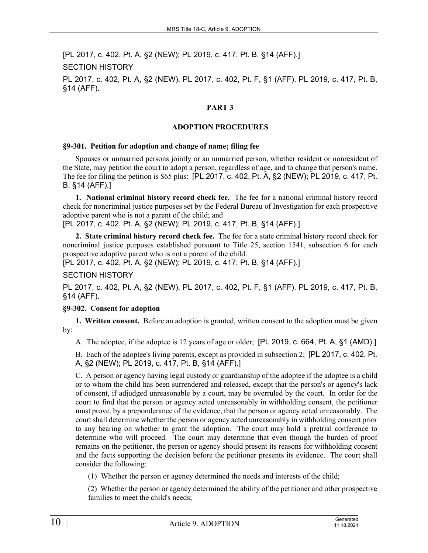[PL 2017, c. 402, Pt. A, §2 (NEW); PL 2019, c. 417, Pt. B, §14 (AFF).]

SECTION HISTORY

PL 2017, c. 402, Pt. A, §2 (NEW). PL 2017, c. 402, Pt. F, §1 (AFF). PL 2019, c. 417, Pt. B, §14 (AFF).

### **PART 3**

### **ADOPTION PROCEDURES**

#### **§9-301. Petition for adoption and change of name; filing fee**

Spouses or unmarried persons jointly or an unmarried person, whether resident or nonresident of the State, may petition the court to adopt a person, regardless of age, and to change that person's name. The fee for filing the petition is \$65 plus: [PL 2017, c. 402, Pt. A, §2 (NEW); PL 2019, c. 417, Pt. B, §14 (AFF).]

**1. National criminal history record check fee.** The fee for a national criminal history record check for noncriminal justice purposes set by the Federal Bureau of Investigation for each prospective adoptive parent who is not a parent of the child; and

[PL 2017, c. 402, Pt. A, §2 (NEW); PL 2019, c. 417, Pt. B, §14 (AFF).]

**2. State criminal history record check fee.** The fee for a state criminal history record check for noncriminal justice purposes established pursuant to Title 25, section 1541, subsection 6 for each prospective adoptive parent who is not a parent of the child.

[PL 2017, c. 402, Pt. A, §2 (NEW); PL 2019, c. 417, Pt. B, §14 (AFF).]

SECTION HISTORY

PL 2017, c. 402, Pt. A, §2 (NEW). PL 2017, c. 402, Pt. F, §1 (AFF). PL 2019, c. 417, Pt. B, §14 (AFF).

## **§9-302. Consent for adoption**

**1. Written consent.** Before an adoption is granted, written consent to the adoption must be given by:

A. The adoptee, if the adoptee is 12 years of age or older; [PL 2019, c. 664, Pt. A, §1 (AMD).]

B. Each of the adoptee's living parents, except as provided in subsection 2; [PL 2017, c. 402, Pt. A, §2 (NEW); PL 2019, c. 417, Pt. B, §14 (AFF).]

C. A person or agency having legal custody or guardianship of the adoptee if the adoptee is a child or to whom the child has been surrendered and released, except that the person's or agency's lack of consent, if adjudged unreasonable by a court, may be overruled by the court. In order for the court to find that the person or agency acted unreasonably in withholding consent, the petitioner must prove, by a preponderance of the evidence, that the person or agency acted unreasonably. The court shall determine whether the person or agency acted unreasonably in withholding consent prior to any hearing on whether to grant the adoption. The court may hold a pretrial conference to determine who will proceed. The court may determine that even though the burden of proof remains on the petitioner, the person or agency should present its reasons for withholding consent and the facts supporting the decision before the petitioner presents its evidence. The court shall consider the following:

(1) Whether the person or agency determined the needs and interests of the child;

(2) Whether the person or agency determined the ability of the petitioner and other prospective families to meet the child's needs;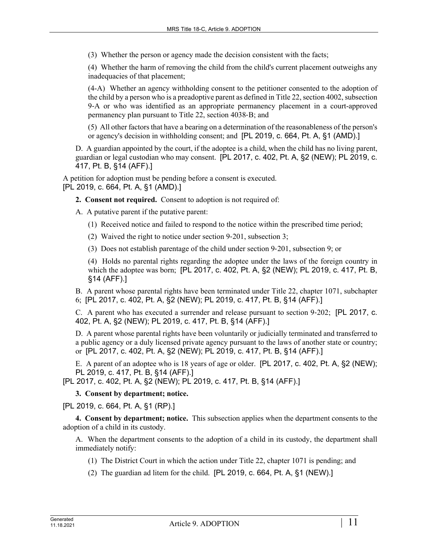(3) Whether the person or agency made the decision consistent with the facts;

(4) Whether the harm of removing the child from the child's current placement outweighs any inadequacies of that placement;

(4-A) Whether an agency withholding consent to the petitioner consented to the adoption of the child by a person who is a preadoptive parent as defined in Title 22, section 4002, subsection 9‑A or who was identified as an appropriate permanency placement in a court-approved permanency plan pursuant to Title 22, section 4038‑B; and

(5) All other factors that have a bearing on a determination of the reasonableness of the person's or agency's decision in withholding consent; and [PL 2019, c. 664, Pt. A, §1 (AMD).]

D. A guardian appointed by the court, if the adoptee is a child, when the child has no living parent, guardian or legal custodian who may consent. [PL 2017, c. 402, Pt. A, §2 (NEW); PL 2019, c. 417, Pt. B, §14 (AFF).]

A petition for adoption must be pending before a consent is executed. [PL 2019, c. 664, Pt. A, §1 (AMD).]

**2. Consent not required.** Consent to adoption is not required of:

A. A putative parent if the putative parent:

- (1) Received notice and failed to respond to the notice within the prescribed time period;
- (2) Waived the right to notice under section 9‑201, subsection 3;

(3) Does not establish parentage of the child under section 9‑201, subsection 9; or

(4) Holds no parental rights regarding the adoptee under the laws of the foreign country in which the adoptee was born; [PL 2017, c. 402, Pt. A, §2 (NEW); PL 2019, c. 417, Pt. B, §14 (AFF).]

B. A parent whose parental rights have been terminated under Title 22, chapter 1071, subchapter 6; [PL 2017, c. 402, Pt. A, §2 (NEW); PL 2019, c. 417, Pt. B, §14 (AFF).]

C. A parent who has executed a surrender and release pursuant to section 9‑202; [PL 2017, c. 402, Pt. A, §2 (NEW); PL 2019, c. 417, Pt. B, §14 (AFF).]

D. A parent whose parental rights have been voluntarily or judicially terminated and transferred to a public agency or a duly licensed private agency pursuant to the laws of another state or country; or [PL 2017, c. 402, Pt. A, §2 (NEW); PL 2019, c. 417, Pt. B, §14 (AFF).]

E. A parent of an adoptee who is 18 years of age or older. [PL 2017, c. 402, Pt. A, §2 (NEW); PL 2019, c. 417, Pt. B, §14 (AFF).]

[PL 2017, c. 402, Pt. A, §2 (NEW); PL 2019, c. 417, Pt. B, §14 (AFF).]

## **3. Consent by department; notice.**

[PL 2019, c. 664, Pt. A, §1 (RP).]

**4. Consent by department; notice.** This subsection applies when the department consents to the adoption of a child in its custody.

A. When the department consents to the adoption of a child in its custody, the department shall immediately notify:

- (1) The District Court in which the action under Title 22, chapter 1071 is pending; and
- (2) The guardian ad litem for the child. [PL 2019, c. 664, Pt. A, §1 (NEW).]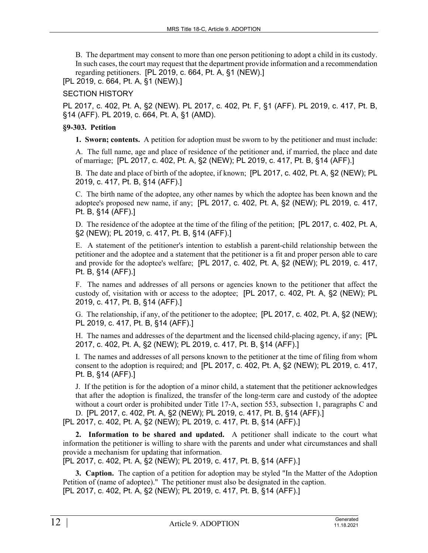B. The department may consent to more than one person petitioning to adopt a child in its custody. In such cases, the court may request that the department provide information and a recommendation regarding petitioners. [PL 2019, c. 664, Pt. A, §1 (NEW).]

[PL 2019, c. 664, Pt. A, §1 (NEW).]

SECTION HISTORY

PL 2017, c. 402, Pt. A, §2 (NEW). PL 2017, c. 402, Pt. F, §1 (AFF). PL 2019, c. 417, Pt. B, §14 (AFF). PL 2019, c. 664, Pt. A, §1 (AMD).

## **§9-303. Petition**

**1. Sworn; contents.** A petition for adoption must be sworn to by the petitioner and must include:

A. The full name, age and place of residence of the petitioner and, if married, the place and date of marriage; [PL 2017, c. 402, Pt. A, §2 (NEW); PL 2019, c. 417, Pt. B, §14 (AFF).]

B. The date and place of birth of the adoptee, if known; [PL 2017, c. 402, Pt. A, §2 (NEW); PL 2019, c. 417, Pt. B, §14 (AFF).]

C. The birth name of the adoptee, any other names by which the adoptee has been known and the adoptee's proposed new name, if any; [PL 2017, c. 402, Pt. A, §2 (NEW); PL 2019, c. 417, Pt. B, §14 (AFF).]

D. The residence of the adoptee at the time of the filing of the petition; [PL 2017, c. 402, Pt. A, §2 (NEW); PL 2019, c. 417, Pt. B, §14 (AFF).]

E. A statement of the petitioner's intention to establish a parent-child relationship between the petitioner and the adoptee and a statement that the petitioner is a fit and proper person able to care and provide for the adoptee's welfare; [PL 2017, c. 402, Pt. A, §2 (NEW); PL 2019, c. 417, Pt. B, §14 (AFF).]

F. The names and addresses of all persons or agencies known to the petitioner that affect the custody of, visitation with or access to the adoptee; [PL 2017, c. 402, Pt. A, §2 (NEW); PL 2019, c. 417, Pt. B, §14 (AFF).]

G. The relationship, if any, of the petitioner to the adoptee; [PL 2017, c. 402, Pt. A, §2 (NEW); PL 2019, c. 417, Pt. B, §14 (AFF).]

H. The names and addresses of the department and the licensed child-placing agency, if any; [PL 2017, c. 402, Pt. A, §2 (NEW); PL 2019, c. 417, Pt. B, §14 (AFF).]

I. The names and addresses of all persons known to the petitioner at the time of filing from whom consent to the adoption is required; and [PL 2017, c. 402, Pt. A, §2 (NEW); PL 2019, c. 417, Pt. B, §14 (AFF).]

J. If the petition is for the adoption of a minor child, a statement that the petitioner acknowledges that after the adoption is finalized, the transfer of the long-term care and custody of the adoptee without a court order is prohibited under Title 17–A, section 553, subsection 1, paragraphs C and D. [PL 2017, c. 402, Pt. A, §2 (NEW); PL 2019, c. 417, Pt. B, §14 (AFF).]

[PL 2017, c. 402, Pt. A, §2 (NEW); PL 2019, c. 417, Pt. B, §14 (AFF).]

**2. Information to be shared and updated.** A petitioner shall indicate to the court what information the petitioner is willing to share with the parents and under what circumstances and shall provide a mechanism for updating that information.

[PL 2017, c. 402, Pt. A, §2 (NEW); PL 2019, c. 417, Pt. B, §14 (AFF).]

**3. Caption.** The caption of a petition for adoption may be styled "In the Matter of the Adoption Petition of (name of adoptee)." The petitioner must also be designated in the caption. [PL 2017, c. 402, Pt. A, §2 (NEW); PL 2019, c. 417, Pt. B, §14 (AFF).]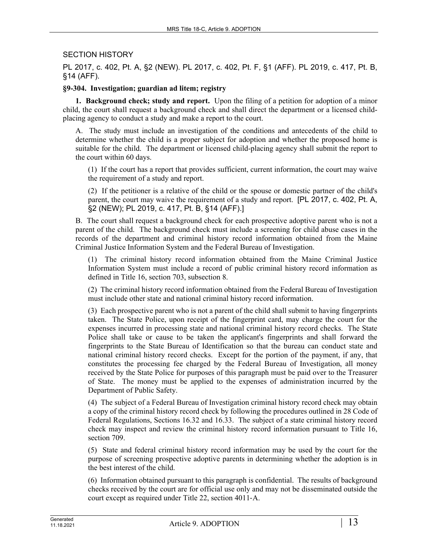## SECTION HISTORY

PL 2017, c. 402, Pt. A, §2 (NEW). PL 2017, c. 402, Pt. F, §1 (AFF). PL 2019, c. 417, Pt. B, §14 (AFF).

### **§9-304. Investigation; guardian ad litem; registry**

**1. Background check; study and report.** Upon the filing of a petition for adoption of a minor child, the court shall request a background check and shall direct the department or a licensed childplacing agency to conduct a study and make a report to the court.

A. The study must include an investigation of the conditions and antecedents of the child to determine whether the child is a proper subject for adoption and whether the proposed home is suitable for the child. The department or licensed child-placing agency shall submit the report to the court within 60 days.

(1) If the court has a report that provides sufficient, current information, the court may waive the requirement of a study and report.

(2) If the petitioner is a relative of the child or the spouse or domestic partner of the child's parent, the court may waive the requirement of a study and report. [PL 2017, c. 402, Pt. A, §2 (NEW); PL 2019, c. 417, Pt. B, §14 (AFF).]

B. The court shall request a background check for each prospective adoptive parent who is not a parent of the child. The background check must include a screening for child abuse cases in the records of the department and criminal history record information obtained from the Maine Criminal Justice Information System and the Federal Bureau of Investigation.

(1) The criminal history record information obtained from the Maine Criminal Justice Information System must include a record of public criminal history record information as defined in Title 16, section 703, subsection 8.

(2) The criminal history record information obtained from the Federal Bureau of Investigation must include other state and national criminal history record information.

(3) Each prospective parent who is not a parent of the child shall submit to having fingerprints taken. The State Police, upon receipt of the fingerprint card, may charge the court for the expenses incurred in processing state and national criminal history record checks. The State Police shall take or cause to be taken the applicant's fingerprints and shall forward the fingerprints to the State Bureau of Identification so that the bureau can conduct state and national criminal history record checks. Except for the portion of the payment, if any, that constitutes the processing fee charged by the Federal Bureau of Investigation, all money received by the State Police for purposes of this paragraph must be paid over to the Treasurer of State. The money must be applied to the expenses of administration incurred by the Department of Public Safety.

(4) The subject of a Federal Bureau of Investigation criminal history record check may obtain a copy of the criminal history record check by following the procedures outlined in 28 Code of Federal Regulations, Sections 16.32 and 16.33. The subject of a state criminal history record check may inspect and review the criminal history record information pursuant to Title 16, section 709.

(5) State and federal criminal history record information may be used by the court for the purpose of screening prospective adoptive parents in determining whether the adoption is in the best interest of the child.

(6) Information obtained pursuant to this paragraph is confidential. The results of background checks received by the court are for official use only and may not be disseminated outside the court except as required under Title 22, section 4011-A.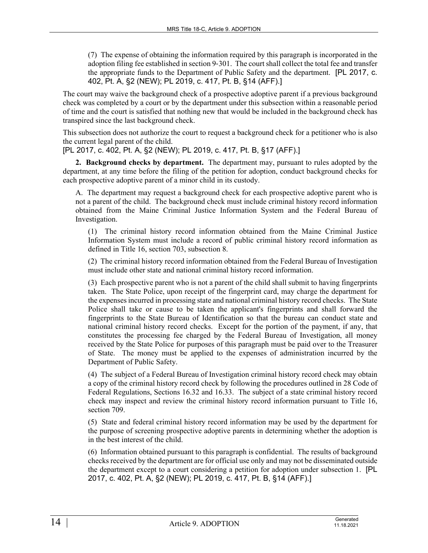(7) The expense of obtaining the information required by this paragraph is incorporated in the adoption filing fee established in section 9‑301. The court shall collect the total fee and transfer the appropriate funds to the Department of Public Safety and the department. [PL 2017, c. 402, Pt. A, §2 (NEW); PL 2019, c. 417, Pt. B, §14 (AFF).]

The court may waive the background check of a prospective adoptive parent if a previous background check was completed by a court or by the department under this subsection within a reasonable period of time and the court is satisfied that nothing new that would be included in the background check has transpired since the last background check.

This subsection does not authorize the court to request a background check for a petitioner who is also the current legal parent of the child.

[PL 2017, c. 402, Pt. A, §2 (NEW); PL 2019, c. 417, Pt. B, §17 (AFF).]

**2. Background checks by department.** The department may, pursuant to rules adopted by the department, at any time before the filing of the petition for adoption, conduct background checks for each prospective adoptive parent of a minor child in its custody.

A. The department may request a background check for each prospective adoptive parent who is not a parent of the child. The background check must include criminal history record information obtained from the Maine Criminal Justice Information System and the Federal Bureau of Investigation.

(1) The criminal history record information obtained from the Maine Criminal Justice Information System must include a record of public criminal history record information as defined in Title 16, section 703, subsection 8.

(2) The criminal history record information obtained from the Federal Bureau of Investigation must include other state and national criminal history record information.

(3) Each prospective parent who is not a parent of the child shall submit to having fingerprints taken. The State Police, upon receipt of the fingerprint card, may charge the department for the expenses incurred in processing state and national criminal history record checks. The State Police shall take or cause to be taken the applicant's fingerprints and shall forward the fingerprints to the State Bureau of Identification so that the bureau can conduct state and national criminal history record checks. Except for the portion of the payment, if any, that constitutes the processing fee charged by the Federal Bureau of Investigation, all money received by the State Police for purposes of this paragraph must be paid over to the Treasurer of State. The money must be applied to the expenses of administration incurred by the Department of Public Safety.

(4) The subject of a Federal Bureau of Investigation criminal history record check may obtain a copy of the criminal history record check by following the procedures outlined in 28 Code of Federal Regulations, Sections 16.32 and 16.33. The subject of a state criminal history record check may inspect and review the criminal history record information pursuant to Title 16, section 709.

(5) State and federal criminal history record information may be used by the department for the purpose of screening prospective adoptive parents in determining whether the adoption is in the best interest of the child.

(6) Information obtained pursuant to this paragraph is confidential. The results of background checks received by the department are for official use only and may not be disseminated outside the department except to a court considering a petition for adoption under subsection 1. [PL 2017, c. 402, Pt. A, §2 (NEW); PL 2019, c. 417, Pt. B, §14 (AFF).]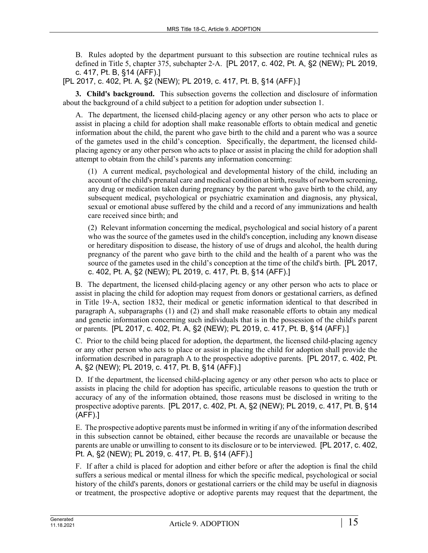B. Rules adopted by the department pursuant to this subsection are routine technical rules as defined in Title 5, chapter 375, subchapter 2‑A. [PL 2017, c. 402, Pt. A, §2 (NEW); PL 2019, c. 417, Pt. B, §14 (AFF).]

[PL 2017, c. 402, Pt. A, §2 (NEW); PL 2019, c. 417, Pt. B, §14 (AFF).]

**3. Child's background.** This subsection governs the collection and disclosure of information about the background of a child subject to a petition for adoption under subsection 1.

A. The department, the licensed child-placing agency or any other person who acts to place or assist in placing a child for adoption shall make reasonable efforts to obtain medical and genetic information about the child, the parent who gave birth to the child and a parent who was a source of the gametes used in the child's conception. Specifically, the department, the licensed childplacing agency or any other person who acts to place or assist in placing the child for adoption shall attempt to obtain from the child's parents any information concerning:

(1) A current medical, psychological and developmental history of the child, including an account of the child's prenatal care and medical condition at birth, results of newborn screening, any drug or medication taken during pregnancy by the parent who gave birth to the child, any subsequent medical, psychological or psychiatric examination and diagnosis, any physical, sexual or emotional abuse suffered by the child and a record of any immunizations and health care received since birth; and

(2) Relevant information concerning the medical, psychological and social history of a parent who was the source of the gametes used in the child's conception, including any known disease or hereditary disposition to disease, the history of use of drugs and alcohol, the health during pregnancy of the parent who gave birth to the child and the health of a parent who was the source of the gametes used in the child's conception at the time of the child's birth. [PL 2017, c. 402, Pt. A, §2 (NEW); PL 2019, c. 417, Pt. B, §14 (AFF).]

B. The department, the licensed child-placing agency or any other person who acts to place or assist in placing the child for adoption may request from donors or gestational carriers, as defined in Title 19‑A, section 1832, their medical or genetic information identical to that described in paragraph A, subparagraphs (1) and (2) and shall make reasonable efforts to obtain any medical and genetic information concerning such individuals that is in the possession of the child's parent or parents. [PL 2017, c. 402, Pt. A, §2 (NEW); PL 2019, c. 417, Pt. B, §14 (AFF).]

C. Prior to the child being placed for adoption, the department, the licensed child-placing agency or any other person who acts to place or assist in placing the child for adoption shall provide the information described in paragraph A to the prospective adoptive parents. [PL 2017, c. 402, Pt. A, §2 (NEW); PL 2019, c. 417, Pt. B, §14 (AFF).]

D. If the department, the licensed child-placing agency or any other person who acts to place or assists in placing the child for adoption has specific, articulable reasons to question the truth or accuracy of any of the information obtained, those reasons must be disclosed in writing to the prospective adoptive parents. [PL 2017, c. 402, Pt. A, §2 (NEW); PL 2019, c. 417, Pt. B, §14 (AFF).]

E. The prospective adoptive parents must be informed in writing if any of the information described in this subsection cannot be obtained, either because the records are unavailable or because the parents are unable or unwilling to consent to its disclosure or to be interviewed. [PL 2017, c. 402, Pt. A, §2 (NEW); PL 2019, c. 417, Pt. B, §14 (AFF).]

F. If after a child is placed for adoption and either before or after the adoption is final the child suffers a serious medical or mental illness for which the specific medical, psychological or social history of the child's parents, donors or gestational carriers or the child may be useful in diagnosis or treatment, the prospective adoptive or adoptive parents may request that the department, the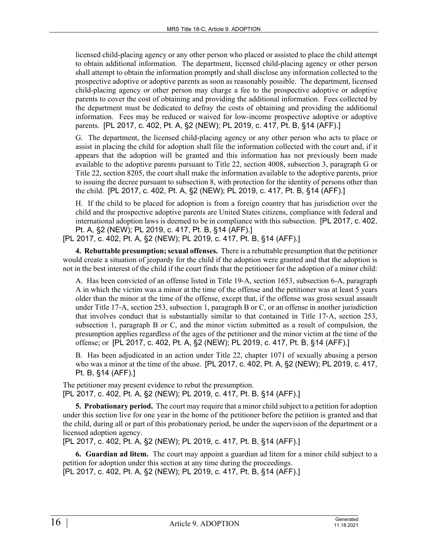licensed child-placing agency or any other person who placed or assisted to place the child attempt to obtain additional information. The department, licensed child-placing agency or other person shall attempt to obtain the information promptly and shall disclose any information collected to the prospective adoptive or adoptive parents as soon as reasonably possible. The department, licensed child-placing agency or other person may charge a fee to the prospective adoptive or adoptive parents to cover the cost of obtaining and providing the additional information. Fees collected by the department must be dedicated to defray the costs of obtaining and providing the additional information. Fees may be reduced or waived for low-income prospective adoptive or adoptive parents. [PL 2017, c. 402, Pt. A, §2 (NEW); PL 2019, c. 417, Pt. B, §14 (AFF).]

G. The department, the licensed child-placing agency or any other person who acts to place or assist in placing the child for adoption shall file the information collected with the court and, if it appears that the adoption will be granted and this information has not previously been made available to the adoptive parents pursuant to Title 22, section 4008, subsection 3, paragraph G or Title 22, section 8205, the court shall make the information available to the adoptive parents, prior to issuing the decree pursuant to subsection 8, with protection for the identity of persons other than the child. [PL 2017, c. 402, Pt. A, §2 (NEW); PL 2019, c. 417, Pt. B, §14 (AFF).]

H. If the child to be placed for adoption is from a foreign country that has jurisdiction over the child and the prospective adoptive parents are United States citizens, compliance with federal and international adoption laws is deemed to be in compliance with this subsection. [PL 2017, c. 402, Pt. A, §2 (NEW); PL 2019, c. 417, Pt. B, §14 (AFF).]

[PL 2017, c. 402, Pt. A, §2 (NEW); PL 2019, c. 417, Pt. B, §14 (AFF).]

**4. Rebuttable presumption; sexual offenses.** There is a rebuttable presumption that the petitioner would create a situation of jeopardy for the child if the adoption were granted and that the adoption is not in the best interest of the child if the court finds that the petitioner for the adoption of a minor child:

A. Has been convicted of an offense listed in Title 19‑A, section 1653, subsection 6-A, paragraph A in which the victim was a minor at the time of the offense and the petitioner was at least 5 years older than the minor at the time of the offense, except that, if the offense was gross sexual assault under Title 17‑A, section 253, subsection 1, paragraph B or C, or an offense in another jurisdiction that involves conduct that is substantially similar to that contained in Title 17‑A, section 253, subsection 1, paragraph B or C, and the minor victim submitted as a result of compulsion, the presumption applies regardless of the ages of the petitioner and the minor victim at the time of the offense; or [PL 2017, c. 402, Pt. A, §2 (NEW); PL 2019, c. 417, Pt. B, §14 (AFF).]

B. Has been adjudicated in an action under Title 22, chapter 1071 of sexually abusing a person who was a minor at the time of the abuse. [PL 2017, c. 402, Pt. A, §2 (NEW); PL 2019, c. 417, Pt. B, §14 (AFF).]

The petitioner may present evidence to rebut the presumption. [PL 2017, c. 402, Pt. A, §2 (NEW); PL 2019, c. 417, Pt. B, §14 (AFF).]

**5. Probationary period.** The court may require that a minor child subject to a petition for adoption under this section live for one year in the home of the petitioner before the petition is granted and that the child, during all or part of this probationary period, be under the supervision of the department or a licensed adoption agency.

[PL 2017, c. 402, Pt. A, §2 (NEW); PL 2019, c. 417, Pt. B, §14 (AFF).]

**6. Guardian ad litem.** The court may appoint a guardian ad litem for a minor child subject to a petition for adoption under this section at any time during the proceedings. [PL 2017, c. 402, Pt. A, §2 (NEW); PL 2019, c. 417, Pt. B, §14 (AFF).]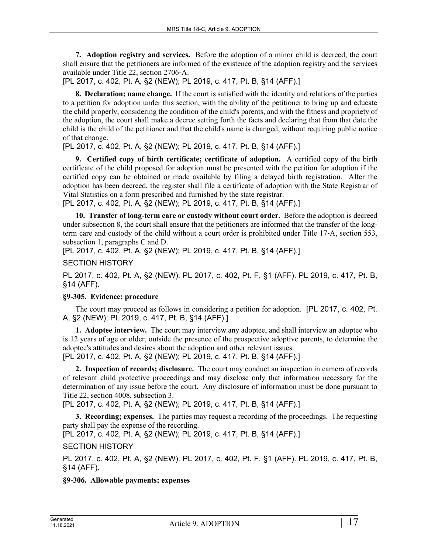**7. Adoption registry and services.** Before the adoption of a minor child is decreed, the court shall ensure that the petitioners are informed of the existence of the adoption registry and the services available under Title 22, section 2706‑A.

[PL 2017, c. 402, Pt. A, §2 (NEW); PL 2019, c. 417, Pt. B, §14 (AFF).]

**8. Declaration; name change.** If the court is satisfied with the identity and relations of the parties to a petition for adoption under this section, with the ability of the petitioner to bring up and educate the child properly, considering the condition of the child's parents, and with the fitness and propriety of the adoption, the court shall make a decree setting forth the facts and declaring that from that date the child is the child of the petitioner and that the child's name is changed, without requiring public notice of that change.

[PL 2017, c. 402, Pt. A, §2 (NEW); PL 2019, c. 417, Pt. B, §14 (AFF).]

**9. Certified copy of birth certificate; certificate of adoption.** A certified copy of the birth certificate of the child proposed for adoption must be presented with the petition for adoption if the certified copy can be obtained or made available by filing a delayed birth registration. After the adoption has been decreed, the register shall file a certificate of adoption with the State Registrar of Vital Statistics on a form prescribed and furnished by the state registrar.

[PL 2017, c. 402, Pt. A, §2 (NEW); PL 2019, c. 417, Pt. B, §14 (AFF).]

**10. Transfer of long-term care or custody without court order.** Before the adoption is decreed under subsection 8, the court shall ensure that the petitioners are informed that the transfer of the longterm care and custody of the child without a court order is prohibited under Title 17‑A, section 553, subsection 1, paragraphs C and D.

[PL 2017, c. 402, Pt. A, §2 (NEW); PL 2019, c. 417, Pt. B, §14 (AFF).]

SECTION HISTORY

PL 2017, c. 402, Pt. A, §2 (NEW). PL 2017, c. 402, Pt. F, §1 (AFF). PL 2019, c. 417, Pt. B, §14 (AFF).

## **§9-305. Evidence; procedure**

The court may proceed as follows in considering a petition for adoption. [PL 2017, c. 402, Pt. A, §2 (NEW); PL 2019, c. 417, Pt. B, §14 (AFF).]

**1. Adoptee interview.** The court may interview any adoptee, and shall interview an adoptee who is 12 years of age or older, outside the presence of the prospective adoptive parents, to determine the adoptee's attitudes and desires about the adoption and other relevant issues.

[PL 2017, c. 402, Pt. A, §2 (NEW); PL 2019, c. 417, Pt. B, §14 (AFF).]

**2. Inspection of records; disclosure.** The court may conduct an inspection in camera of records of relevant child protective proceedings and may disclose only that information necessary for the determination of any issue before the court. Any disclosure of information must be done pursuant to Title 22, section 4008, subsection 3.

[PL 2017, c. 402, Pt. A, §2 (NEW); PL 2019, c. 417, Pt. B, §14 (AFF).]

**3. Recording; expenses.** The parties may request a recording of the proceedings. The requesting party shall pay the expense of the recording.

[PL 2017, c. 402, Pt. A, §2 (NEW); PL 2019, c. 417, Pt. B, §14 (AFF).]

## SECTION HISTORY

PL 2017, c. 402, Pt. A, §2 (NEW). PL 2017, c. 402, Pt. F, §1 (AFF). PL 2019, c. 417, Pt. B, §14 (AFF).

## **§9-306. Allowable payments; expenses**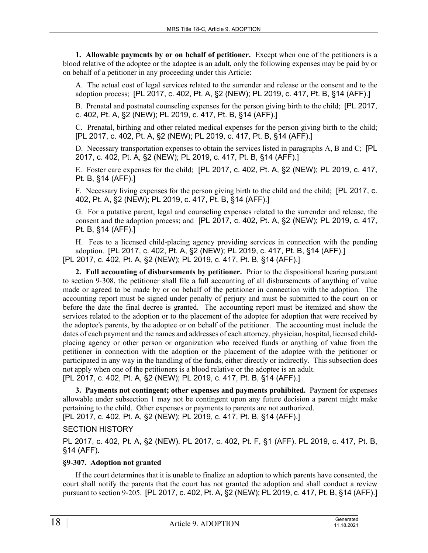**1. Allowable payments by or on behalf of petitioner.** Except when one of the petitioners is a blood relative of the adoptee or the adoptee is an adult, only the following expenses may be paid by or on behalf of a petitioner in any proceeding under this Article:

A. The actual cost of legal services related to the surrender and release or the consent and to the adoption process; [PL 2017, c. 402, Pt. A, §2 (NEW); PL 2019, c. 417, Pt. B, §14 (AFF).]

B. Prenatal and postnatal counseling expenses for the person giving birth to the child; [PL 2017, c. 402, Pt. A, §2 (NEW); PL 2019, c. 417, Pt. B, §14 (AFF).]

C. Prenatal, birthing and other related medical expenses for the person giving birth to the child; [PL 2017, c. 402, Pt. A, §2 (NEW); PL 2019, c. 417, Pt. B, §14 (AFF).]

D. Necessary transportation expenses to obtain the services listed in paragraphs A, B and C; [PL 2017, c. 402, Pt. A, §2 (NEW); PL 2019, c. 417, Pt. B, §14 (AFF).]

E. Foster care expenses for the child; [PL 2017, c. 402, Pt. A, §2 (NEW); PL 2019, c. 417, Pt. B, §14 (AFF).]

F. Necessary living expenses for the person giving birth to the child and the child; [PL 2017, c. 402, Pt. A, §2 (NEW); PL 2019, c. 417, Pt. B, §14 (AFF).]

G. For a putative parent, legal and counseling expenses related to the surrender and release, the consent and the adoption process; and [PL 2017, c. 402, Pt. A, §2 (NEW); PL 2019, c. 417, Pt. B, §14 (AFF).]

H. Fees to a licensed child-placing agency providing services in connection with the pending adoption. [PL 2017, c. 402, Pt. A, §2 (NEW); PL 2019, c. 417, Pt. B, §14 (AFF).] [PL 2017, c. 402, Pt. A, §2 (NEW); PL 2019, c. 417, Pt. B, §14 (AFF).]

**2. Full accounting of disbursements by petitioner.** Prior to the dispositional hearing pursuant to section 9‑308, the petitioner shall file a full accounting of all disbursements of anything of value made or agreed to be made by or on behalf of the petitioner in connection with the adoption. The accounting report must be signed under penalty of perjury and must be submitted to the court on or before the date the final decree is granted. The accounting report must be itemized and show the services related to the adoption or to the placement of the adoptee for adoption that were received by the adoptee's parents, by the adoptee or on behalf of the petitioner. The accounting must include the dates of each payment and the names and addresses of each attorney, physician, hospital, licensed childplacing agency or other person or organization who received funds or anything of value from the petitioner in connection with the adoption or the placement of the adoptee with the petitioner or participated in any way in the handling of the funds, either directly or indirectly. This subsection does not apply when one of the petitioners is a blood relative or the adoptee is an adult. [PL 2017, c. 402, Pt. A, §2 (NEW); PL 2019, c. 417, Pt. B, §14 (AFF).]

**3. Payments not contingent; other expenses and payments prohibited.** Payment for expenses allowable under subsection 1 may not be contingent upon any future decision a parent might make pertaining to the child. Other expenses or payments to parents are not authorized.

[PL 2017, c. 402, Pt. A, §2 (NEW); PL 2019, c. 417, Pt. B, §14 (AFF).]

SECTION HISTORY

PL 2017, c. 402, Pt. A, §2 (NEW). PL 2017, c. 402, Pt. F, §1 (AFF). PL 2019, c. 417, Pt. B, §14 (AFF).

## **§9-307. Adoption not granted**

If the court determines that it is unable to finalize an adoption to which parents have consented, the court shall notify the parents that the court has not granted the adoption and shall conduct a review pursuant to section 9‑205. [PL 2017, c. 402, Pt. A, §2 (NEW); PL 2019, c. 417, Pt. B, §14 (AFF).]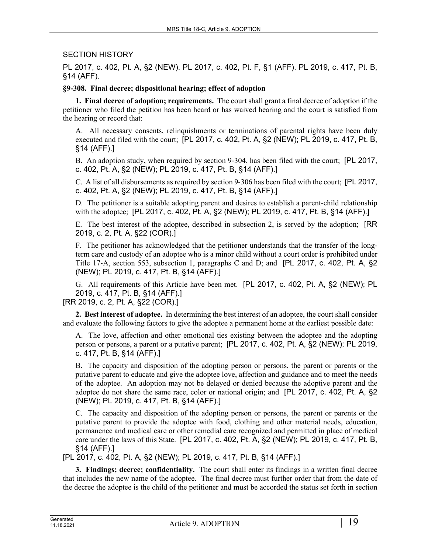### SECTION HISTORY

PL 2017, c. 402, Pt. A, §2 (NEW). PL 2017, c. 402, Pt. F, §1 (AFF). PL 2019, c. 417, Pt. B, §14 (AFF).

### **§9-308. Final decree; dispositional hearing; effect of adoption**

**1. Final decree of adoption; requirements.** The court shall grant a final decree of adoption if the petitioner who filed the petition has been heard or has waived hearing and the court is satisfied from the hearing or record that:

A. All necessary consents, relinquishments or terminations of parental rights have been duly executed and filed with the court; [PL 2017, c. 402, Pt. A, §2 (NEW); PL 2019, c. 417, Pt. B, §14 (AFF).]

B. An adoption study, when required by section 9-304, has been filed with the court; [PL 2017, c. 402, Pt. A, §2 (NEW); PL 2019, c. 417, Pt. B, §14 (AFF).]

C. A list of all disbursements as required by section 9‑306 has been filed with the court; [PL 2017, c. 402, Pt. A, §2 (NEW); PL 2019, c. 417, Pt. B, §14 (AFF).]

D. The petitioner is a suitable adopting parent and desires to establish a parent-child relationship with the adoptee; [PL 2017, c. 402, Pt. A, §2 (NEW); PL 2019, c. 417, Pt. B, §14 (AFF).]

E. The best interest of the adoptee, described in subsection 2, is served by the adoption; [RR 2019, c. 2, Pt. A, §22 (COR).]

F. The petitioner has acknowledged that the petitioner understands that the transfer of the longterm care and custody of an adoptee who is a minor child without a court order is prohibited under Title 17‑A, section 553, subsection 1, paragraphs C and D; and [PL 2017, c. 402, Pt. A, §2 (NEW); PL 2019, c. 417, Pt. B, §14 (AFF).]

G. All requirements of this Article have been met. [PL 2017, c. 402, Pt. A, §2 (NEW); PL 2019, c. 417, Pt. B, §14 (AFF).]

[RR 2019, c. 2, Pt. A, §22 (COR).]

**2. Best interest of adoptee.** In determining the best interest of an adoptee, the court shall consider and evaluate the following factors to give the adoptee a permanent home at the earliest possible date:

A. The love, affection and other emotional ties existing between the adoptee and the adopting person or persons, a parent or a putative parent; [PL 2017, c. 402, Pt. A, §2 (NEW); PL 2019, c. 417, Pt. B, §14 (AFF).]

B. The capacity and disposition of the adopting person or persons, the parent or parents or the putative parent to educate and give the adoptee love, affection and guidance and to meet the needs of the adoptee. An adoption may not be delayed or denied because the adoptive parent and the adoptee do not share the same race, color or national origin; and [PL 2017, c. 402, Pt. A, §2 (NEW); PL 2019, c. 417, Pt. B, §14 (AFF).]

C. The capacity and disposition of the adopting person or persons, the parent or parents or the putative parent to provide the adoptee with food, clothing and other material needs, education, permanence and medical care or other remedial care recognized and permitted in place of medical care under the laws of this State. [PL 2017, c. 402, Pt. A, §2 (NEW); PL 2019, c. 417, Pt. B, §14 (AFF).]

[PL 2017, c. 402, Pt. A, §2 (NEW); PL 2019, c. 417, Pt. B, §14 (AFF).]

**3. Findings; decree; confidentiality.** The court shall enter its findings in a written final decree that includes the new name of the adoptee. The final decree must further order that from the date of the decree the adoptee is the child of the petitioner and must be accorded the status set forth in section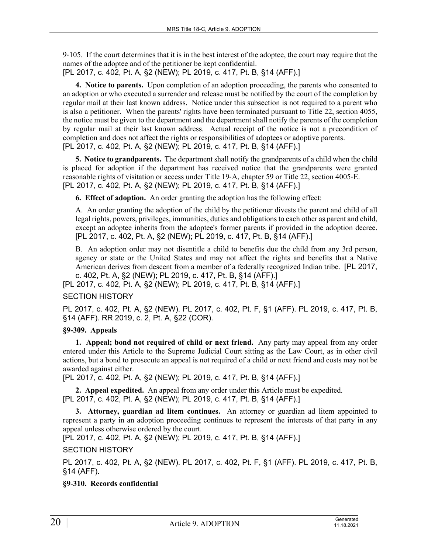9‑105. If the court determines that it is in the best interest of the adoptee, the court may require that the names of the adoptee and of the petitioner be kept confidential.

[PL 2017, c. 402, Pt. A, §2 (NEW); PL 2019, c. 417, Pt. B, §14 (AFF).]

**4. Notice to parents.** Upon completion of an adoption proceeding, the parents who consented to an adoption or who executed a surrender and release must be notified by the court of the completion by regular mail at their last known address. Notice under this subsection is not required to a parent who is also a petitioner. When the parents' rights have been terminated pursuant to Title 22, section 4055, the notice must be given to the department and the department shall notify the parents of the completion by regular mail at their last known address. Actual receipt of the notice is not a precondition of completion and does not affect the rights or responsibilities of adoptees or adoptive parents. [PL 2017, c. 402, Pt. A, §2 (NEW); PL 2019, c. 417, Pt. B, §14 (AFF).]

**5. Notice to grandparents.** The department shall notify the grandparents of a child when the child is placed for adoption if the department has received notice that the grandparents were granted reasonable rights of visitation or access under Title 19‑A, chapter 59 or Title 22, section 4005‑E. [PL 2017, c. 402, Pt. A, §2 (NEW); PL 2019, c. 417, Pt. B, §14 (AFF).]

**6. Effect of adoption.** An order granting the adoption has the following effect:

A. An order granting the adoption of the child by the petitioner divests the parent and child of all legal rights, powers, privileges, immunities, duties and obligations to each other as parent and child, except an adoptee inherits from the adoptee's former parents if provided in the adoption decree. [PL 2017, c. 402, Pt. A, §2 (NEW); PL 2019, c. 417, Pt. B, §14 (AFF).]

B. An adoption order may not disentitle a child to benefits due the child from any 3rd person, agency or state or the United States and may not affect the rights and benefits that a Native American derives from descent from a member of a federally recognized Indian tribe. [PL 2017, c. 402, Pt. A, §2 (NEW); PL 2019, c. 417, Pt. B, §14 (AFF).]

[PL 2017, c. 402, Pt. A, §2 (NEW); PL 2019, c. 417, Pt. B, §14 (AFF).]

# SECTION HISTORY

PL 2017, c. 402, Pt. A, §2 (NEW). PL 2017, c. 402, Pt. F, §1 (AFF). PL 2019, c. 417, Pt. B, §14 (AFF). RR 2019, c. 2, Pt. A, §22 (COR).

## **§9-309. Appeals**

**1. Appeal; bond not required of child or next friend.** Any party may appeal from any order entered under this Article to the Supreme Judicial Court sitting as the Law Court, as in other civil actions, but a bond to prosecute an appeal is not required of a child or next friend and costs may not be awarded against either.

[PL 2017, c. 402, Pt. A, §2 (NEW); PL 2019, c. 417, Pt. B, §14 (AFF).]

**2. Appeal expedited.** An appeal from any order under this Article must be expedited. [PL 2017, c. 402, Pt. A, §2 (NEW); PL 2019, c. 417, Pt. B, §14 (AFF).]

**3. Attorney, guardian ad litem continues.** An attorney or guardian ad litem appointed to represent a party in an adoption proceeding continues to represent the interests of that party in any appeal unless otherwise ordered by the court.

[PL 2017, c. 402, Pt. A, §2 (NEW); PL 2019, c. 417, Pt. B, §14 (AFF).]

SECTION HISTORY

PL 2017, c. 402, Pt. A, §2 (NEW). PL 2017, c. 402, Pt. F, §1 (AFF). PL 2019, c. 417, Pt. B, §14 (AFF).

# **§9-310. Records confidential**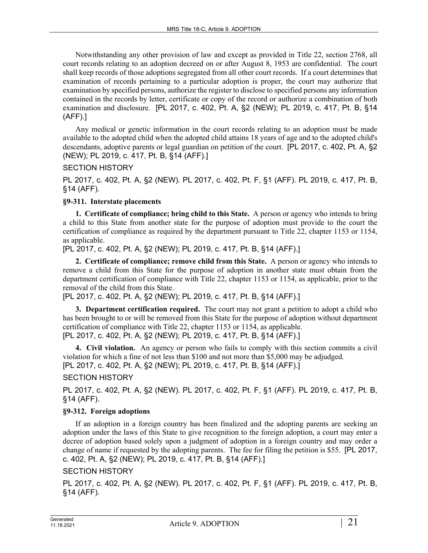Notwithstanding any other provision of law and except as provided in Title 22, section 2768, all court records relating to an adoption decreed on or after August 8, 1953 are confidential. The court shall keep records of those adoptions segregated from all other court records. If a court determines that examination of records pertaining to a particular adoption is proper, the court may authorize that examination by specified persons, authorize the register to disclose to specified persons any information contained in the records by letter, certificate or copy of the record or authorize a combination of both examination and disclosure. [PL 2017, c. 402, Pt. A, §2 (NEW); PL 2019, c. 417, Pt. B, §14 (AFF).]

Any medical or genetic information in the court records relating to an adoption must be made available to the adopted child when the adopted child attains 18 years of age and to the adopted child's descendants, adoptive parents or legal guardian on petition of the court. [PL 2017, c. 402, Pt. A, §2 (NEW); PL 2019, c. 417, Pt. B, §14 (AFF).]

### SECTION HISTORY

PL 2017, c. 402, Pt. A, §2 (NEW). PL 2017, c. 402, Pt. F, §1 (AFF). PL 2019, c. 417, Pt. B, §14 (AFF).

### **§9-311. Interstate placements**

**1. Certificate of compliance; bring child to this State.** A person or agency who intends to bring a child to this State from another state for the purpose of adoption must provide to the court the certification of compliance as required by the department pursuant to Title 22, chapter 1153 or 1154, as applicable.

[PL 2017, c. 402, Pt. A, §2 (NEW); PL 2019, c. 417, Pt. B, §14 (AFF).]

**2. Certificate of compliance; remove child from this State.** A person or agency who intends to remove a child from this State for the purpose of adoption in another state must obtain from the department certification of compliance with Title 22, chapter 1153 or 1154, as applicable, prior to the removal of the child from this State.

[PL 2017, c. 402, Pt. A, §2 (NEW); PL 2019, c. 417, Pt. B, §14 (AFF).]

**3. Department certification required.** The court may not grant a petition to adopt a child who has been brought to or will be removed from this State for the purpose of adoption without department certification of compliance with Title 22, chapter 1153 or 1154, as applicable. [PL 2017, c. 402, Pt. A, §2 (NEW); PL 2019, c. 417, Pt. B, §14 (AFF).]

**4. Civil violation.** An agency or person who fails to comply with this section commits a civil violation for which a fine of not less than \$100 and not more than \$5,000 may be adjudged. [PL 2017, c. 402, Pt. A, §2 (NEW); PL 2019, c. 417, Pt. B, §14 (AFF).]

## SECTION HISTORY

PL 2017, c. 402, Pt. A, §2 (NEW). PL 2017, c. 402, Pt. F, §1 (AFF). PL 2019, c. 417, Pt. B, §14 (AFF).

## **§9-312. Foreign adoptions**

If an adoption in a foreign country has been finalized and the adopting parents are seeking an adoption under the laws of this State to give recognition to the foreign adoption, a court may enter a decree of adoption based solely upon a judgment of adoption in a foreign country and may order a change of name if requested by the adopting parents. The fee for filing the petition is \$55. [PL 2017, c. 402, Pt. A, §2 (NEW); PL 2019, c. 417, Pt. B, §14 (AFF).]

## SECTION HISTORY

PL 2017, c. 402, Pt. A, §2 (NEW). PL 2017, c. 402, Pt. F, §1 (AFF). PL 2019, c. 417, Pt. B, §14 (AFF).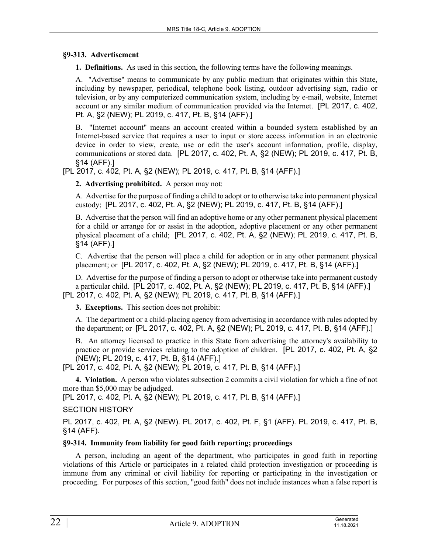#### **§9-313. Advertisement**

**1. Definitions.** As used in this section, the following terms have the following meanings.

A. "Advertise" means to communicate by any public medium that originates within this State, including by newspaper, periodical, telephone book listing, outdoor advertising sign, radio or television, or by any computerized communication system, including by e-mail, website, Internet account or any similar medium of communication provided via the Internet. [PL 2017, c. 402, Pt. A, §2 (NEW); PL 2019, c. 417, Pt. B, §14 (AFF).]

B. "Internet account" means an account created within a bounded system established by an Internet-based service that requires a user to input or store access information in an electronic device in order to view, create, use or edit the user's account information, profile, display, communications or stored data. [PL 2017, c. 402, Pt. A, §2 (NEW); PL 2019, c. 417, Pt. B, §14 (AFF).]

[PL 2017, c. 402, Pt. A, §2 (NEW); PL 2019, c. 417, Pt. B, §14 (AFF).]

**2. Advertising prohibited.** A person may not:

A. Advertise for the purpose of finding a child to adopt or to otherwise take into permanent physical custody; [PL 2017, c. 402, Pt. A, §2 (NEW); PL 2019, c. 417, Pt. B, §14 (AFF).]

B. Advertise that the person will find an adoptive home or any other permanent physical placement for a child or arrange for or assist in the adoption, adoptive placement or any other permanent physical placement of a child; [PL 2017, c. 402, Pt. A, §2 (NEW); PL 2019, c. 417, Pt. B, §14 (AFF).]

C. Advertise that the person will place a child for adoption or in any other permanent physical placement; or [PL 2017, c. 402, Pt. A, §2 (NEW); PL 2019, c. 417, Pt. B, §14 (AFF).]

D. Advertise for the purpose of finding a person to adopt or otherwise take into permanent custody a particular child. [PL 2017, c. 402, Pt. A, §2 (NEW); PL 2019, c. 417, Pt. B, §14 (AFF).] [PL 2017, c. 402, Pt. A, §2 (NEW); PL 2019, c. 417, Pt. B, §14 (AFF).]

**3. Exceptions.** This section does not prohibit:

A. The department or a child-placing agency from advertising in accordance with rules adopted by the department; or [PL 2017, c. 402, Pt. A, §2 (NEW); PL 2019, c. 417, Pt. B, §14 (AFF).]

B. An attorney licensed to practice in this State from advertising the attorney's availability to practice or provide services relating to the adoption of children. [PL 2017, c. 402, Pt. A, §2 (NEW); PL 2019, c. 417, Pt. B, §14 (AFF).]

[PL 2017, c. 402, Pt. A, §2 (NEW); PL 2019, c. 417, Pt. B, §14 (AFF).]

**4. Violation.** A person who violates subsection 2 commits a civil violation for which a fine of not more than \$5,000 may be adjudged.

[PL 2017, c. 402, Pt. A, §2 (NEW); PL 2019, c. 417, Pt. B, §14 (AFF).]

SECTION HISTORY

PL 2017, c. 402, Pt. A, §2 (NEW). PL 2017, c. 402, Pt. F, §1 (AFF). PL 2019, c. 417, Pt. B, §14 (AFF).

#### **§9-314. Immunity from liability for good faith reporting; proceedings**

A person, including an agent of the department, who participates in good faith in reporting violations of this Article or participates in a related child protection investigation or proceeding is immune from any criminal or civil liability for reporting or participating in the investigation or proceeding. For purposes of this section, "good faith" does not include instances when a false report is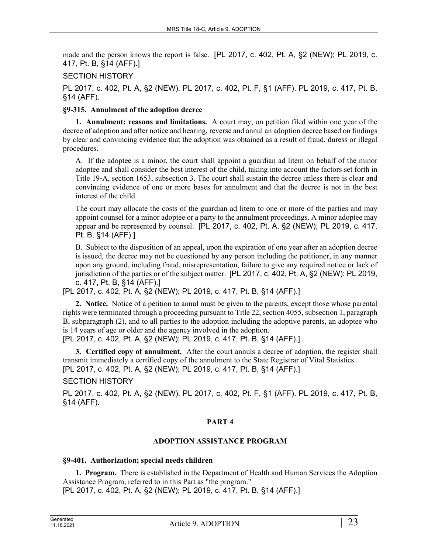made and the person knows the report is false. [PL 2017, c. 402, Pt. A, §2 (NEW); PL 2019, c. 417, Pt. B, §14 (AFF).]

## SECTION HISTORY

PL 2017, c. 402, Pt. A, §2 (NEW). PL 2017, c. 402, Pt. F, §1 (AFF). PL 2019, c. 417, Pt. B, §14 (AFF).

## **§9-315. Annulment of the adoption decree**

**1. Annulment; reasons and limitations.** A court may, on petition filed within one year of the decree of adoption and after notice and hearing, reverse and annul an adoption decree based on findings by clear and convincing evidence that the adoption was obtained as a result of fraud, duress or illegal procedures.

A. If the adoptee is a minor, the court shall appoint a guardian ad litem on behalf of the minor adoptee and shall consider the best interest of the child, taking into account the factors set forth in Title 19‑A, section 1653, subsection 3. The court shall sustain the decree unless there is clear and convincing evidence of one or more bases for annulment and that the decree is not in the best interest of the child.

The court may allocate the costs of the guardian ad litem to one or more of the parties and may appoint counsel for a minor adoptee or a party to the annulment proceedings. A minor adoptee may appear and be represented by counsel. [PL 2017, c. 402, Pt. A, §2 (NEW); PL 2019, c. 417, Pt. B, §14 (AFF).]

B. Subject to the disposition of an appeal, upon the expiration of one year after an adoption decree is issued, the decree may not be questioned by any person including the petitioner, in any manner upon any ground, including fraud, misrepresentation, failure to give any required notice or lack of jurisdiction of the parties or of the subject matter. [PL 2017, c. 402, Pt. A, §2 (NEW); PL 2019, c. 417, Pt. B, §14 (AFF).]

[PL 2017, c. 402, Pt. A, §2 (NEW); PL 2019, c. 417, Pt. B, §14 (AFF).]

**2. Notice.** Notice of a petition to annul must be given to the parents, except those whose parental rights were terminated through a proceeding pursuant to Title 22, section 4055, subsection 1, paragraph B, subparagraph (2), and to all parties to the adoption including the adoptive parents, an adoptee who is 14 years of age or older and the agency involved in the adoption.

[PL 2017, c. 402, Pt. A, §2 (NEW); PL 2019, c. 417, Pt. B, §14 (AFF).]

**3. Certified copy of annulment.** After the court annuls a decree of adoption, the register shall transmit immediately a certified copy of the annulment to the State Registrar of Vital Statistics. [PL 2017, c. 402, Pt. A, §2 (NEW); PL 2019, c. 417, Pt. B, §14 (AFF).]

## SECTION HISTORY

PL 2017, c. 402, Pt. A, §2 (NEW). PL 2017, c. 402, Pt. F, §1 (AFF). PL 2019, c. 417, Pt. B, §14 (AFF).

## **PART 4**

## **ADOPTION ASSISTANCE PROGRAM**

## **§9-401. Authorization; special needs children**

**1. Program.** There is established in the Department of Health and Human Services the Adoption Assistance Program, referred to in this Part as "the program." [PL 2017, c. 402, Pt. A, §2 (NEW); PL 2019, c. 417, Pt. B, §14 (AFF).]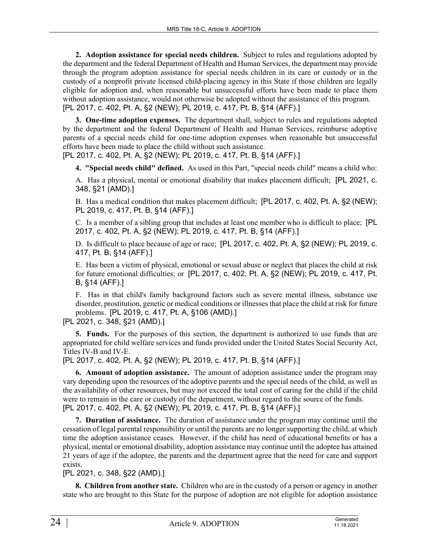**2. Adoption assistance for special needs children.** Subject to rules and regulations adopted by the department and the federal Department of Health and Human Services, the department may provide through the program adoption assistance for special needs children in its care or custody or in the custody of a nonprofit private licensed child-placing agency in this State if those children are legally eligible for adoption and, when reasonable but unsuccessful efforts have been made to place them without adoption assistance, would not otherwise be adopted without the assistance of this program. [PL 2017, c. 402, Pt. A, §2 (NEW); PL 2019, c. 417, Pt. B, §14 (AFF).]

**3. One-time adoption expenses.** The department shall, subject to rules and regulations adopted by the department and the federal Department of Health and Human Services, reimburse adoptive parents of a special needs child for one-time adoption expenses when reasonable but unsuccessful efforts have been made to place the child without such assistance.

[PL 2017, c. 402, Pt. A, §2 (NEW); PL 2019, c. 417, Pt. B, §14 (AFF).]

**4. "Special needs child" defined.** As used in this Part, "special needs child" means a child who:

A. Has a physical, mental or emotional disability that makes placement difficult; [PL 2021, c. 348, §21 (AMD).]

B. Has a medical condition that makes placement difficult; [PL 2017, c. 402, Pt. A, §2 (NEW); PL 2019, c. 417, Pt. B, §14 (AFF).]

C. Is a member of a sibling group that includes at least one member who is difficult to place; [PL 2017, c. 402, Pt. A, §2 (NEW); PL 2019, c. 417, Pt. B, §14 (AFF).]

D. Is difficult to place because of age or race; [PL 2017, c. 402, Pt. A, §2 (NEW); PL 2019, c. 417, Pt. B, §14 (AFF).]

E. Has been a victim of physical, emotional or sexual abuse or neglect that places the child at risk for future emotional difficulties; or [PL 2017, c. 402, Pt. A, §2 (NEW); PL 2019, c. 417, Pt. B, §14 (AFF).]

F. Has in that child's family background factors such as severe mental illness, substance use disorder, prostitution, genetic or medical conditions or illnesses that place the child at risk for future problems. [PL 2019, c. 417, Pt. A, §106 (AMD).]

[PL 2021, c. 348, §21 (AMD).]

**5. Funds.** For the purposes of this section, the department is authorized to use funds that are appropriated for child welfare services and funds provided under the United States Social Security Act, Titles IV-B and IV-E.

[PL 2017, c. 402, Pt. A, §2 (NEW); PL 2019, c. 417, Pt. B, §14 (AFF).]

**6. Amount of adoption assistance.** The amount of adoption assistance under the program may vary depending upon the resources of the adoptive parents and the special needs of the child, as well as the availability of other resources, but may not exceed the total cost of caring for the child if the child were to remain in the care or custody of the department, without regard to the source of the funds. [PL 2017, c. 402, Pt. A, §2 (NEW); PL 2019, c. 417, Pt. B, §14 (AFF).]

**7. Duration of assistance.** The duration of assistance under the program may continue until the cessation of legal parental responsibility or until the parents are no longer supporting the child, at which time the adoption assistance ceases. However, if the child has need of educational benefits or has a physical, mental or emotional disability, adoption assistance may continue until the adoptee has attained 21 years of age if the adoptee, the parents and the department agree that the need for care and support exists.

[PL 2021, c. 348, §22 (AMD).]

**8. Children from another state.** Children who are in the custody of a person or agency in another state who are brought to this State for the purpose of adoption are not eligible for adoption assistance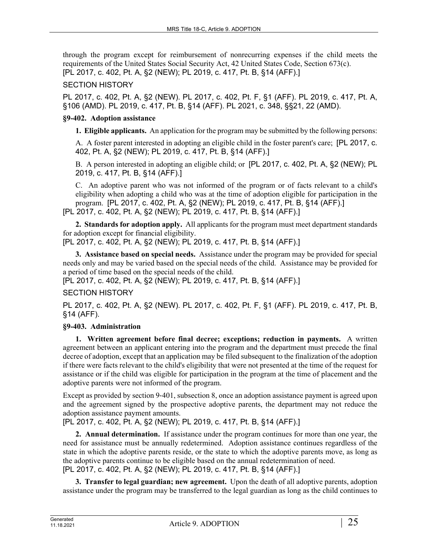through the program except for reimbursement of nonrecurring expenses if the child meets the requirements of the United States Social Security Act, 42 United States Code, Section 673(c). [PL 2017, c. 402, Pt. A, §2 (NEW); PL 2019, c. 417, Pt. B, §14 (AFF).]

# SECTION HISTORY

PL 2017, c. 402, Pt. A, §2 (NEW). PL 2017, c. 402, Pt. F, §1 (AFF). PL 2019, c. 417, Pt. A, §106 (AMD). PL 2019, c. 417, Pt. B, §14 (AFF). PL 2021, c. 348, §§21, 22 (AMD).

# **§9-402. Adoption assistance**

**1. Eligible applicants.** An application for the program may be submitted by the following persons:

A. A foster parent interested in adopting an eligible child in the foster parent's care; [PL 2017, c. 402, Pt. A, §2 (NEW); PL 2019, c. 417, Pt. B, §14 (AFF).]

B. A person interested in adopting an eligible child; or [PL 2017, c. 402, Pt. A, §2 (NEW); PL 2019, c. 417, Pt. B, §14 (AFF).]

C. An adoptive parent who was not informed of the program or of facts relevant to a child's eligibility when adopting a child who was at the time of adoption eligible for participation in the program. [PL 2017, c. 402, Pt. A, §2 (NEW); PL 2019, c. 417, Pt. B, §14 (AFF).] [PL 2017, c. 402, Pt. A, §2 (NEW); PL 2019, c. 417, Pt. B, §14 (AFF).]

**2. Standards for adoption apply.** All applicants for the program must meet department standards for adoption except for financial eligibility.

[PL 2017, c. 402, Pt. A, §2 (NEW); PL 2019, c. 417, Pt. B, §14 (AFF).]

**3. Assistance based on special needs.** Assistance under the program may be provided for special needs only and may be varied based on the special needs of the child. Assistance may be provided for a period of time based on the special needs of the child.

[PL 2017, c. 402, Pt. A, §2 (NEW); PL 2019, c. 417, Pt. B, §14 (AFF).]

# SECTION HISTORY

PL 2017, c. 402, Pt. A, §2 (NEW). PL 2017, c. 402, Pt. F, §1 (AFF). PL 2019, c. 417, Pt. B, §14 (AFF).

# **§9-403. Administration**

**1. Written agreement before final decree; exceptions; reduction in payments.** A written agreement between an applicant entering into the program and the department must precede the final decree of adoption, except that an application may be filed subsequent to the finalization of the adoption if there were facts relevant to the child's eligibility that were not presented at the time of the request for assistance or if the child was eligible for participation in the program at the time of placement and the adoptive parents were not informed of the program.

Except as provided by section 9-401, subsection 8, once an adoption assistance payment is agreed upon and the agreement signed by the prospective adoptive parents, the department may not reduce the adoption assistance payment amounts.

[PL 2017, c. 402, Pt. A, §2 (NEW); PL 2019, c. 417, Pt. B, §14 (AFF).]

**2. Annual determination.** If assistance under the program continues for more than one year, the need for assistance must be annually redetermined. Adoption assistance continues regardless of the state in which the adoptive parents reside, or the state to which the adoptive parents move, as long as the adoptive parents continue to be eligible based on the annual redetermination of need. [PL 2017, c. 402, Pt. A, §2 (NEW); PL 2019, c. 417, Pt. B, §14 (AFF).]

**3. Transfer to legal guardian; new agreement.** Upon the death of all adoptive parents, adoption assistance under the program may be transferred to the legal guardian as long as the child continues to